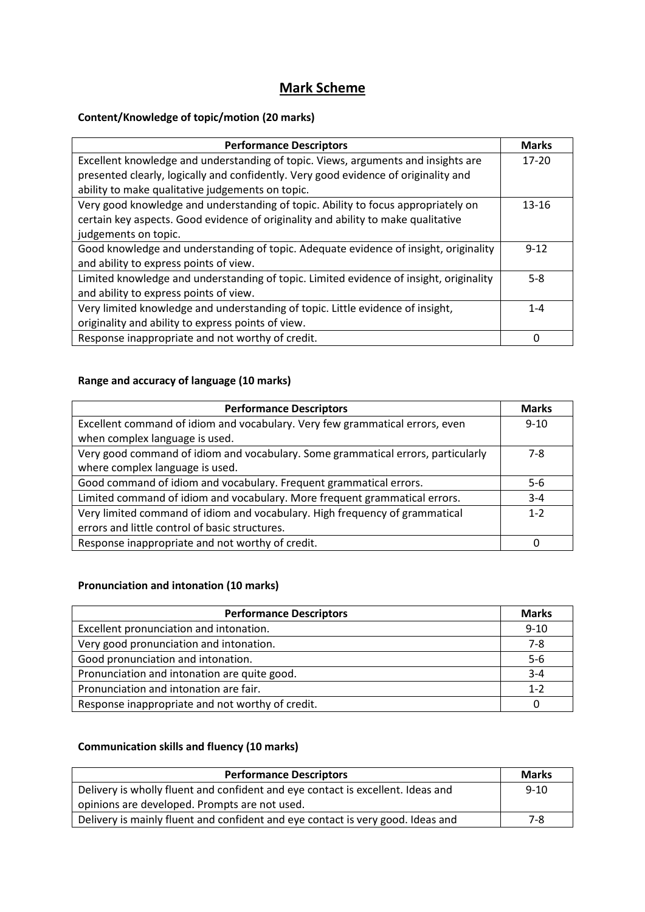# **Mark Scheme**

## **Content/Knowledge of topic/motion (20 marks)**

| <b>Performance Descriptors</b>                                                         | <b>Marks</b> |
|----------------------------------------------------------------------------------------|--------------|
| Excellent knowledge and understanding of topic. Views, arguments and insights are      | $17 - 20$    |
| presented clearly, logically and confidently. Very good evidence of originality and    |              |
| ability to make qualitative judgements on topic.                                       |              |
| Very good knowledge and understanding of topic. Ability to focus appropriately on      | $13 - 16$    |
| certain key aspects. Good evidence of originality and ability to make qualitative      |              |
| judgements on topic.                                                                   |              |
| Good knowledge and understanding of topic. Adequate evidence of insight, originality   | $9 - 12$     |
| and ability to express points of view.                                                 |              |
| Limited knowledge and understanding of topic. Limited evidence of insight, originality | $5 - 8$      |
| and ability to express points of view.                                                 |              |
| Very limited knowledge and understanding of topic. Little evidence of insight,         | $1 - 4$      |
| originality and ability to express points of view.                                     |              |
| Response inappropriate and not worthy of credit.                                       | 0            |

## **Range and accuracy of language (10 marks)**

| <b>Performance Descriptors</b>                                                   | <b>Marks</b> |
|----------------------------------------------------------------------------------|--------------|
| Excellent command of idiom and vocabulary. Very few grammatical errors, even     | $9 - 10$     |
| when complex language is used.                                                   |              |
| Very good command of idiom and vocabulary. Some grammatical errors, particularly | 7-8          |
| where complex language is used.                                                  |              |
| Good command of idiom and vocabulary. Frequent grammatical errors.               | $5 - 6$      |
| Limited command of idiom and vocabulary. More frequent grammatical errors.       | $3 - 4$      |
| Very limited command of idiom and vocabulary. High frequency of grammatical      | $1 - 2$      |
| errors and little control of basic structures.                                   |              |
| Response inappropriate and not worthy of credit.                                 | O            |

## **Pronunciation and intonation (10 marks)**

| <b>Performance Descriptors</b>                   | <b>Marks</b> |
|--------------------------------------------------|--------------|
| Excellent pronunciation and intonation.          | $9 - 10$     |
| Very good pronunciation and intonation.          | 7-8          |
| Good pronunciation and intonation.               | $5-6$        |
| Pronunciation and intonation are quite good.     | $3 - 4$      |
| Pronunciation and intonation are fair.           | $1 - 2$      |
| Response inappropriate and not worthy of credit. |              |

#### **Communication skills and fluency (10 marks)**

| <b>Performance Descriptors</b>                                                  | <b>Marks</b> |
|---------------------------------------------------------------------------------|--------------|
| Delivery is wholly fluent and confident and eye contact is excellent. Ideas and | $9 - 10$     |
| opinions are developed. Prompts are not used.                                   |              |
| Delivery is mainly fluent and confident and eye contact is very good. Ideas and | 7-8          |